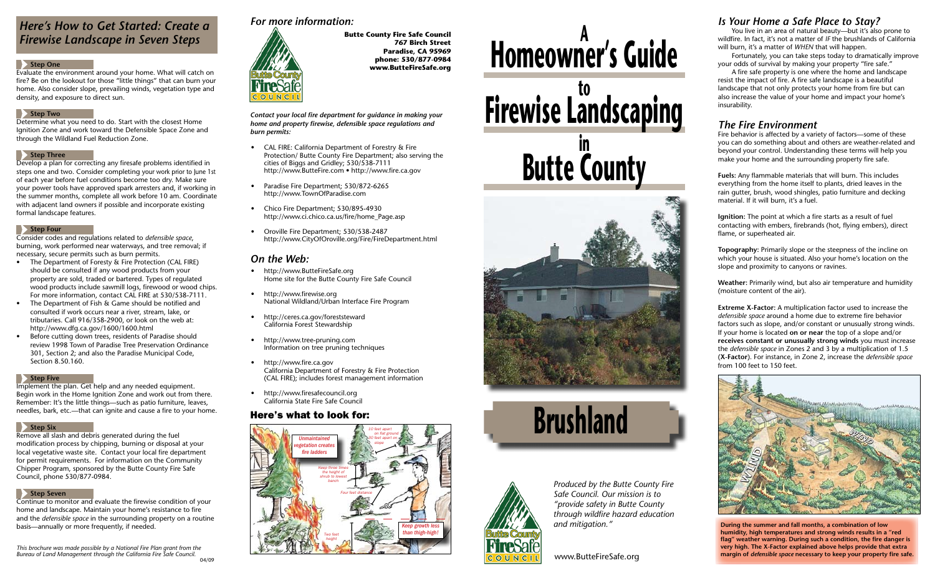# **Homeowner's Guide <sup>A</sup> Firewise Landscaping Butte County in**







www.ButteFireSafe.org

*Produced by the Butte County Fire Safe Council. Our mission is to "provide safety in Butte County through wildfire hazard education and mitigation."*

*Contact your local fire department for guidance in making your home and property firewise, defensible space regulations and burn permits:*

- • CAL FIRE: California Department of Forestry & Fire Protection/ Butte County Fire Department; also serving the cities of Biggs and Gridley; 530/538-7111 http://www.ButteFire.com • http://www.fire.ca.gov
- Paradise Fire Department; 530/872-6265 http://www.TownOfParadise.com
- Chico Fire Department; 530/895-4930 http://www.ci.chico.ca.us/fire/home\_Page.asp
- Oroville Fire Department; 530/538-2487 http://www.CityOfOroville.org/Fire/FireDepartment.html

- http://www.ButteFireSafe.org Home site for the Butte County Fire Safe Council
- http://www.firewise.org National Wildland/Urban Interface Fire Program
- http://ceres.ca.gov/foreststeward California Forest Stewardship
- http://www.tree-pruning.com Information on tree pruning techniques
- • http://www.fire.ca.gov California Department of Forestry & Fire Protection (CAL FIRE); includes forest management information
- http://www.firesafecouncil.org California State Fire Safe Council

## *On the Web:*

## *For more information:*



**Butte County Fire Safe Council 767 Birch Street Paradise, CA 95969 phone: 530/877-0984 www.ButteFireSafe.org**

# *Here's How to Get Started: Create a Firewise Landscape in Seven Steps*

#### **Step One**

- The Department of Foresty & Fire Protection (CAL FIRE) should be consulted if any wood products from your property are sold, traded or bartered. Types of regulated wood products include sawmill logs, firewood or wood chips. For more information, contact CAL FIRE at 530/538-7111.
- The Department of Fish & Game should be notified and consulted if work occurs near a river, stream, lake, or tributaries. Call 916/358-2900, or look on the web at: http://www.dfg.ca.gov/1600/1600.html
- Before cutting down trees, residents of Paradise should review 1998 Town of Paradise Tree Preservation Ordinance 301, Section 2; and also the Paradise Municipal Code, Section 8.50.160.

#### **Step Five**

Evaluate the environment around your home. What will catch on fire? Be on the lookout for those "little things" that can burn your home. Also consider slope, prevailing winds, vegetation type and density, and exposure to direct sun.

#### **Step Two**

Determine what you need to do. Start with the closest Home Ignition Zone and work toward the Defensible Space Zone and through the Wildland Fuel Reduction Zone.

#### **Step Three**

Develop a plan for correcting any firesafe problems identified in steps one and two. Consider completing your work prior to June 1st of each year before fuel conditions become too dry. Make sure your power tools have approved spark arresters and, if working in the summer months, complete all work before 10 am. Coordinate with adjacent land owners if possible and incorporate existing formal landscape features.

### **Step Four**

Consider codes and regulations related to *defensible space*, burning, work performed near waterways, and tree removal; if necessary, secure permits such as burn permits.

Implement the plan. Get help and any needed equipment. Begin work in the Home Ignition Zone and work out from there. Remember: It's the little things—such as patio furniture, leaves, needles, bark, etc.—that can ignite and cause a fire to your home.

## **Step Six**

Remove all slash and debris generated during the fuel modification process by chipping, burning or disposal at your local vegetative waste site. Contact your local fire department for permit requirements. For information on the Community Chipper Program, sponsored by the Butte County Fire Safe Council, phone 530/877-0984.

#### **Step Seven**

Continue to monitor and evaluate the firewise condition of your home and landscape. Maintain your home's resistance to fire and the *defensible space* in the surrounding property on a routine basis—annually or more frequently, if needed.

*This brochure was made possible by a National Fire Plan grant from the Bureau of Land Management through the California Fire Safe Council.* 04/09

## *Is Your Home a Safe Place to Stay?*

 You live in an area of natural beauty—but it's also prone to wildfire. In fact, it's not a matter of *if* the brushlands of California will burn, it's a matter of *when* that will happen.

 Fortunately, you can take steps today to dramatically improve your odds of survival by making your property "fire safe."

 A fire safe property is one where the home and landscape resist the impact of fire. A fire safe landscape is a beautiful landscape that not only protects your home from fire but can also increase the value of your home and impact your home's insurability.

## *The Fire Environment*

Fire behavior is affected by a variety of factors—some of these you can do something about and others are weather-related and beyond your control. Understanding these terms will help you make your home and the surrounding property fire safe.

**Fuels:** Any flammable materials that will burn. This includes everything from the home itself to plants, dried leaves in the rain gutter, brush, wood shingles, patio furniture and decking material. If it will burn, it's a fuel.

**Ignition:** The point at which a fire starts as a result of fuel contacting with embers, firebrands (hot, flying embers), direct flame, or superheated air.

**Topography:** Primarily slope or the steepness of the incline on which your house is situated. Also your home's location on the slope and proximity to canyons or ravines.

**Weather:** Primarily wind, but also air temperature and humidity (moisture content of the air).

**Extreme X-Factor:** A multiplication factor used to increase the *defensible space* around a home due to extreme fire behavior factors such as slope, and/or constant or unusually strong winds. If your home is located **on or near** the top of a slope and/or **receives constant or unusually strong winds** you must increase the *defensible space* in Zones 2 and 3 by a multiplication of 1.5 (**X-Factor**). For instance, in Zone 2, increase the *defensible space* from 100 feet to 150 feet.



**During the summer and fall months, a combination of low humidity, high temperatures and strong winds results in a "red flag" weather warning. During such a condition, the fire danger is very high. The X-Factor explained above helps provide that extra margin of** *defensible space* **necessary to keep your property fire safe.**

## Here's what to look for: